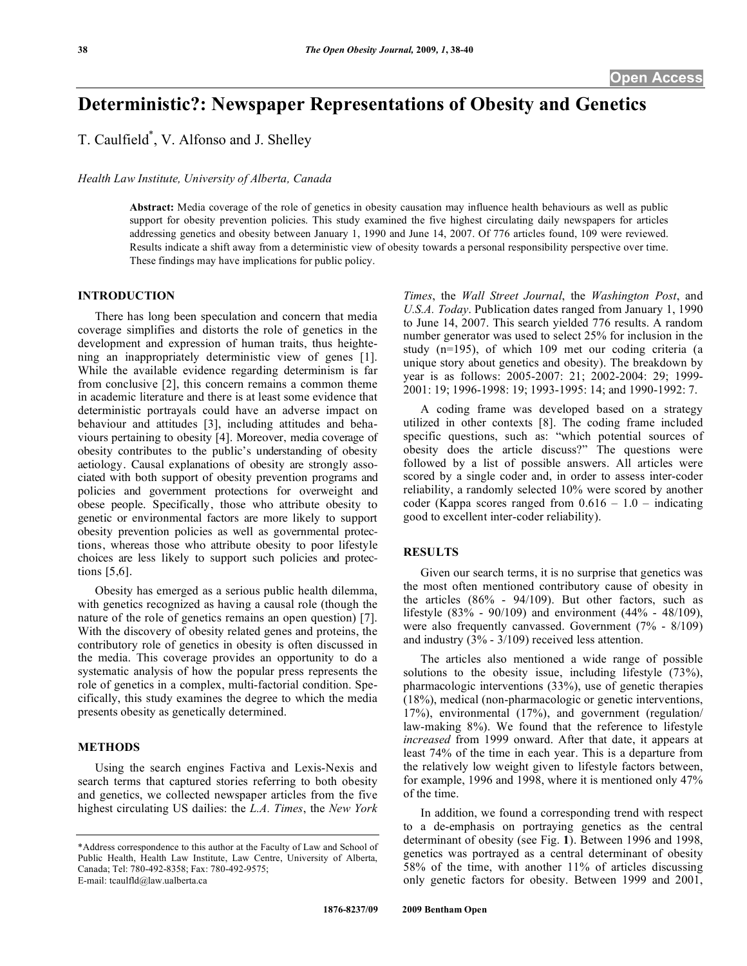# **Deterministic?: Newspaper Representations of Obesity and Genetics**

T. Caulfield\* , V. Alfonso and J. Shelley

### *Health Law Institute, University of Alberta, Canada*

**Abstract:** Media coverage of the role of genetics in obesity causation may influence health behaviours as well as public support for obesity prevention policies. This study examined the five highest circulating daily newspapers for articles addressing genetics and obesity between January 1, 1990 and June 14, 2007. Of 776 articles found, 109 were reviewed. Results indicate a shift away from a deterministic view of obesity towards a personal responsibility perspective over time. These findings may have implications for public policy.

#### **INTRODUCTION**

 There has long been speculation and concern that media coverage simplifies and distorts the role of genetics in the development and expression of human traits, thus heightening an inappropriately deterministic view of genes [1]. While the available evidence regarding determinism is far from conclusive [2], this concern remains a common theme in academic literature and there is at least some evidence that deterministic portrayals could have an adverse impact on behaviour and attitudes [3], including attitudes and behaviours pertaining to obesity [4]. Moreover, media coverage of obesity contributes to the public's understanding of obesity aetiology. Causal explanations of obesity are strongly associated with both support of obesity prevention programs and policies and government protections for overweight and obese people. Specifically, those who attribute obesity to genetic or environmental factors are more likely to support obesity prevention policies as well as governmental protections, whereas those who attribute obesity to poor lifestyle choices are less likely to support such policies and protections [5,6].

 Obesity has emerged as a serious public health dilemma, with genetics recognized as having a causal role (though the nature of the role of genetics remains an open question) [7]. With the discovery of obesity related genes and proteins, the contributory role of genetics in obesity is often discussed in the media. This coverage provides an opportunity to do a systematic analysis of how the popular press represents the role of genetics in a complex, multi-factorial condition. Specifically, this study examines the degree to which the media presents obesity as genetically determined.

#### **METHODS**

 Using the search engines Factiva and Lexis-Nexis and search terms that captured stories referring to both obesity and genetics, we collected newspaper articles from the five highest circulating US dailies: the *L.A. Times*, the *New York*

*Times*, the *Wall Street Journal*, the *Washington Post*, and *U.S.A. Today*. Publication dates ranged from January 1, 1990 to June 14, 2007. This search yielded 776 results. A random number generator was used to select 25% for inclusion in the study (n=195), of which 109 met our coding criteria (a unique story about genetics and obesity). The breakdown by year is as follows: 2005-2007: 21; 2002-2004: 29; 1999- 2001: 19; 1996-1998: 19; 1993-1995: 14; and 1990-1992: 7.

 A coding frame was developed based on a strategy utilized in other contexts [8]. The coding frame included specific questions, such as: "which potential sources of obesity does the article discuss?" The questions were followed by a list of possible answers. All articles were scored by a single coder and, in order to assess inter-coder reliability, a randomly selected 10% were scored by another coder (Kappa scores ranged from  $0.616 - 1.0$  – indicating good to excellent inter-coder reliability).

# **RESULTS**

 Given our search terms, it is no surprise that genetics was the most often mentioned contributory cause of obesity in the articles (86% - 94/109). But other factors, such as lifestyle (83% - 90/109) and environment (44% - 48/109), were also frequently canvassed. Government (7% - 8/109) and industry (3% - 3/109) received less attention.

 The articles also mentioned a wide range of possible solutions to the obesity issue, including lifestyle (73%), pharmacologic interventions (33%), use of genetic therapies (18%), medical (non-pharmacologic or genetic interventions, 17%), environmental (17%), and government (regulation/ law-making 8%). We found that the reference to lifestyle *increased* from 1999 onward. After that date, it appears at least 74% of the time in each year. This is a departure from the relatively low weight given to lifestyle factors between, for example, 1996 and 1998, where it is mentioned only 47% of the time.

 In addition, we found a corresponding trend with respect to a de-emphasis on portraying genetics as the central determinant of obesity (see Fig. **1**). Between 1996 and 1998, genetics was portrayed as a central determinant of obesity 58% of the time, with another 11% of articles discussing only genetic factors for obesity. Between 1999 and 2001,

<sup>\*</sup>Address correspondence to this author at the Faculty of Law and School of Public Health, Health Law Institute, Law Centre, University of Alberta, Canada; Tel: 780-492-8358; Fax: 780-492-9575; E-mail: tcaulfld@law.ualberta.ca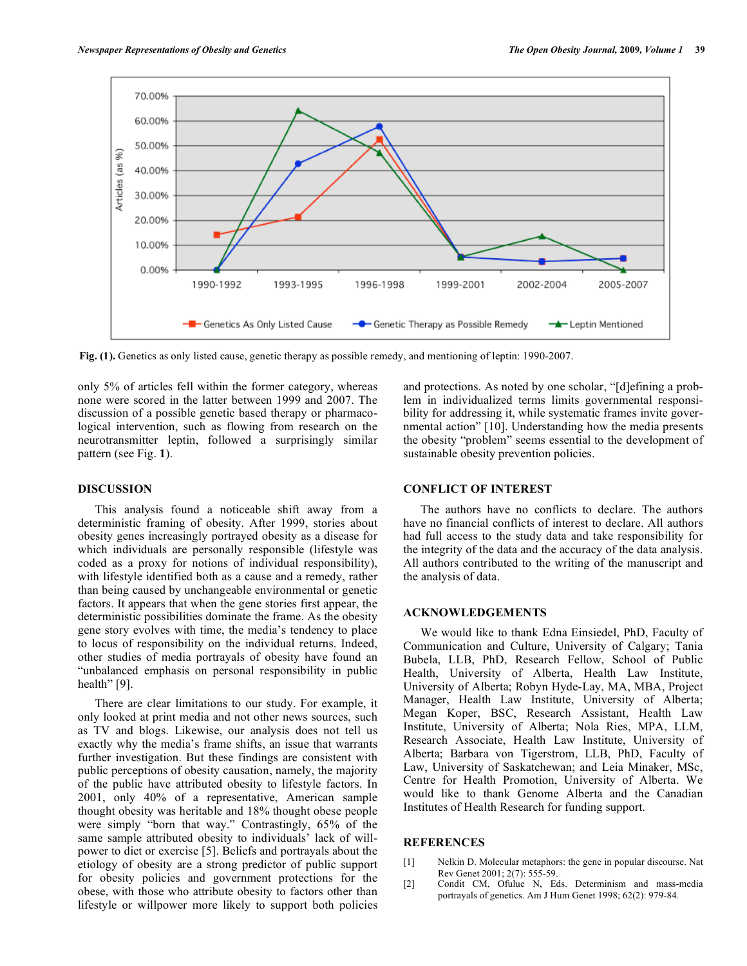

**Fig. (1).** Genetics as only listed cause, genetic therapy as possible remedy, and mentioning of leptin: 1990-2007.

only 5% of articles fell within the former category, whereas none were scored in the latter between 1999 and 2007. The discussion of a possible genetic based therapy or pharmacological intervention, such as flowing from research on the neurotransmitter leptin, followed a surprisingly similar pattern (see Fig. **1**).

# **DISCUSSION**

 This analysis found a noticeable shift away from a deterministic framing of obesity. After 1999, stories about obesity genes increasingly portrayed obesity as a disease for which individuals are personally responsible (lifestyle was coded as a proxy for notions of individual responsibility), with lifestyle identified both as a cause and a remedy, rather than being caused by unchangeable environmental or genetic factors. It appears that when the gene stories first appear, the deterministic possibilities dominate the frame. As the obesity gene story evolves with time, the media's tendency to place to locus of responsibility on the individual returns. Indeed, other studies of media portrayals of obesity have found an "unbalanced emphasis on personal responsibility in public health" [9].

 There are clear limitations to our study. For example, it only looked at print media and not other news sources, such as TV and blogs. Likewise, our analysis does not tell us exactly why the media's frame shifts, an issue that warrants further investigation. But these findings are consistent with public perceptions of obesity causation, namely, the majority of the public have attributed obesity to lifestyle factors. In 2001, only 40% of a representative, American sample thought obesity was heritable and 18% thought obese people were simply "born that way." Contrastingly, 65% of the same sample attributed obesity to individuals' lack of willpower to diet or exercise [5]. Beliefs and portrayals about the etiology of obesity are a strong predictor of public support for obesity policies and government protections for the obese, with those who attribute obesity to factors other than lifestyle or willpower more likely to support both policies

and protections. As noted by one scholar, "[d]efining a problem in individualized terms limits governmental responsibility for addressing it, while systematic frames invite governmental action" [10]. Understanding how the media presents the obesity "problem" seems essential to the development of sustainable obesity prevention policies.

# **CONFLICT OF INTEREST**

 The authors have no conflicts to declare. The authors have no financial conflicts of interest to declare. All authors had full access to the study data and take responsibility for the integrity of the data and the accuracy of the data analysis. All authors contributed to the writing of the manuscript and the analysis of data.

### **ACKNOWLEDGEMENTS**

 We would like to thank Edna Einsiedel, PhD, Faculty of Communication and Culture, University of Calgary; Tania Bubela, LLB, PhD, Research Fellow, School of Public Health, University of Alberta, Health Law Institute, University of Alberta; Robyn Hyde-Lay, MA, MBA, Project Manager, Health Law Institute, University of Alberta; Megan Koper, BSC, Research Assistant, Health Law Institute, University of Alberta; Nola Ries, MPA, LLM, Research Associate, Health Law Institute, University of Alberta; Barbara von Tigerstrom, LLB, PhD, Faculty of Law, University of Saskatchewan; and Leia Minaker, MSc, Centre for Health Promotion, University of Alberta. We would like to thank Genome Alberta and the Canadian Institutes of Health Research for funding support.

#### **REFERENCES**

- [1] Nelkin D. Molecular metaphors: the gene in popular discourse. Nat Rev Genet 2001; 2(7): 555-59.
- [2] Condit CM, Ofulue N, Eds. Determinism and mass-media portrayals of genetics. Am J Hum Genet 1998; 62(2): 979-84.